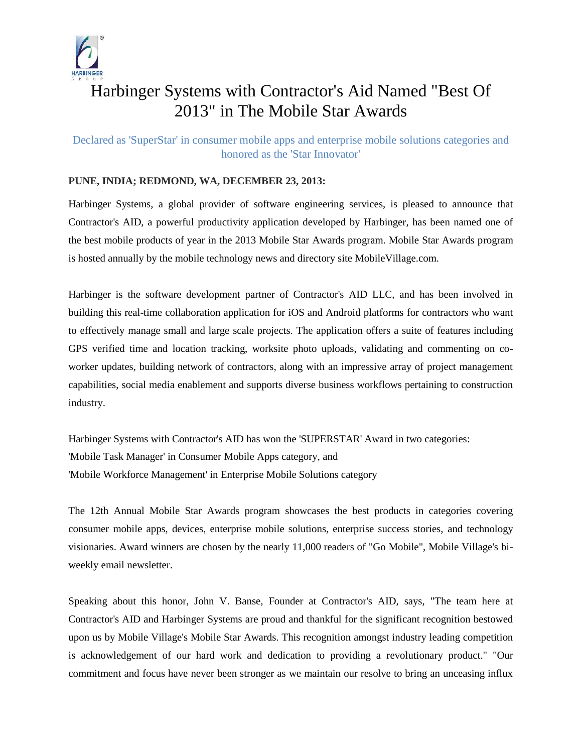

# Harbinger Systems with Contractor's Aid Named "Best Of 2013" in The Mobile Star Awards

Declared as 'SuperStar' in consumer mobile apps and enterprise mobile solutions categories and honored as the 'Star Innovator'

## **PUNE, INDIA; REDMOND, WA, DECEMBER 23, 2013:**

Harbinger Systems, a global provider of software engineering services, is pleased to announce that Contractor's AID, a powerful productivity application developed by Harbinger, has been named one of the best mobile products of year in the 2013 Mobile Star Awards program. Mobile Star Awards program is hosted annually by the mobile technology news and directory site MobileVillage.com.

Harbinger is the software development partner of Contractor's AID LLC, and has been involved in building this real-time collaboration application for iOS and Android platforms for contractors who want to effectively manage small and large scale projects. The application offers a suite of features including GPS verified time and location tracking, worksite photo uploads, validating and commenting on coworker updates, building network of contractors, along with an impressive array of project management capabilities, social media enablement and supports diverse business workflows pertaining to construction industry.

Harbinger Systems with Contractor's AID has won the 'SUPERSTAR' Award in two categories: 'Mobile Task Manager' in Consumer Mobile Apps category, and 'Mobile Workforce Management' in Enterprise Mobile Solutions category

The 12th Annual Mobile Star Awards program showcases the best products in categories covering consumer mobile apps, devices, enterprise mobile solutions, enterprise success stories, and technology visionaries. Award winners are chosen by the nearly 11,000 readers of "Go Mobile", Mobile Village's biweekly email newsletter.

Speaking about this honor, John V. Banse, Founder at Contractor's AID, says, "The team here at Contractor's AID and Harbinger Systems are proud and thankful for the significant recognition bestowed upon us by Mobile Village's Mobile Star Awards. This recognition amongst industry leading competition is acknowledgement of our hard work and dedication to providing a revolutionary product." "Our commitment and focus have never been stronger as we maintain our resolve to bring an unceasing influx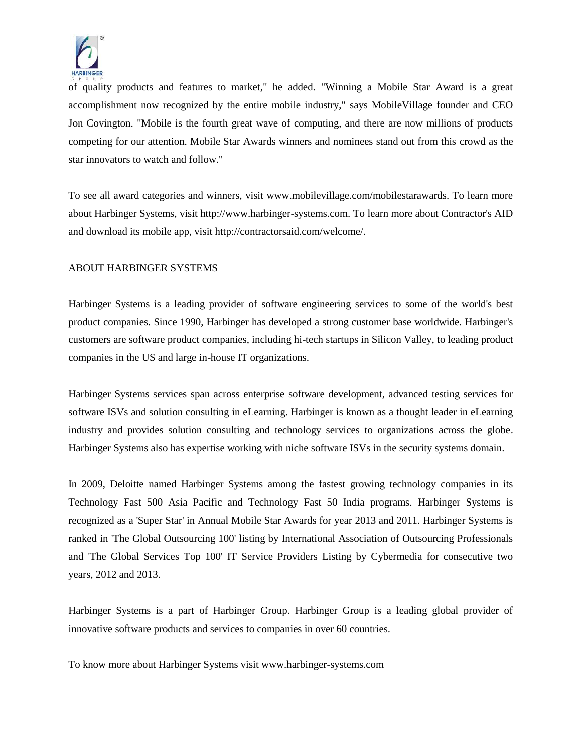

of quality products and features to market," he added. "Winning a Mobile Star Award is a great accomplishment now recognized by the entire mobile industry," says MobileVillage founder and CEO Jon Covington. "Mobile is the fourth great wave of computing, and there are now millions of products competing for our attention. Mobile Star Awards winners and nominees stand out from this crowd as the star innovators to watch and follow."

To see all award categories and winners, visit www.mobilevillage.com/mobilestarawards. To learn more about Harbinger Systems, visit http://www.harbinger-systems.com. To learn more about Contractor's AID and download its mobile app, visit http://contractorsaid.com/welcome/.

#### ABOUT HARBINGER SYSTEMS

Harbinger Systems is a leading provider of software engineering services to some of the world's best product companies. Since 1990, Harbinger has developed a strong customer base worldwide. Harbinger's customers are software product companies, including hi-tech startups in Silicon Valley, to leading product companies in the US and large in-house IT organizations.

Harbinger Systems services span across enterprise software development, advanced testing services for software ISVs and solution consulting in eLearning. Harbinger is known as a thought leader in eLearning industry and provides solution consulting and technology services to organizations across the globe. Harbinger Systems also has expertise working with niche software ISVs in the security systems domain.

In 2009, Deloitte named Harbinger Systems among the fastest growing technology companies in its Technology Fast 500 Asia Pacific and Technology Fast 50 India programs. Harbinger Systems is recognized as a 'Super Star' in Annual Mobile Star Awards for year 2013 and 2011. Harbinger Systems is ranked in 'The Global Outsourcing 100' listing by International Association of Outsourcing Professionals and 'The Global Services Top 100' IT Service Providers Listing by Cybermedia for consecutive two years, 2012 and 2013.

Harbinger Systems is a part of Harbinger Group. Harbinger Group is a leading global provider of innovative software products and services to companies in over 60 countries.

To know more about Harbinger Systems visit www.harbinger-systems.com